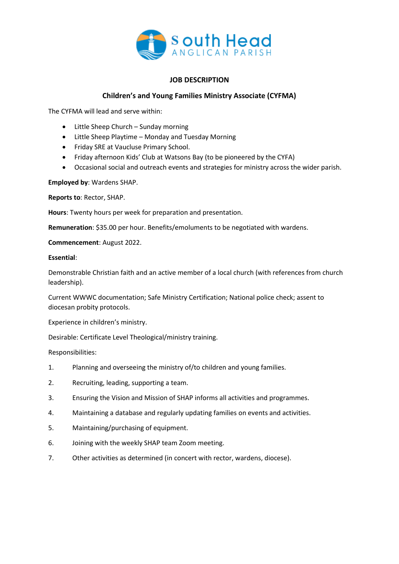

## **JOB DESCRIPTION**

## **Children's and Young Families Ministry Associate (CYFMA)**

The CYFMA will lead and serve within:

- Little Sheep Church Sunday morning
- Little Sheep Playtime Monday and Tuesday Morning
- Friday SRE at Vaucluse Primary School.
- Friday afternoon Kids' Club at Watsons Bay (to be pioneered by the CYFA)
- Occasional social and outreach events and strategies for ministry across the wider parish.

**Employed by**: Wardens SHAP.

**Reports to**: Rector, SHAP.

**Hours**: Twenty hours per week for preparation and presentation.

**Remuneration**: \$35.00 per hour. Benefits/emoluments to be negotiated with wardens.

**Commencement**: August 2022.

## **Essential**:

Demonstrable Christian faith and an active member of a local church (with references from church leadership).

Current WWWC documentation; Safe Ministry Certification; National police check; assent to diocesan probity protocols.

Experience in children's ministry.

Desirable: Certificate Level Theological/ministry training.

Responsibilities:

- 1. Planning and overseeing the ministry of/to children and young families.
- 2. Recruiting, leading, supporting a team.
- 3. Ensuring the Vision and Mission of SHAP informs all activities and programmes.
- 4. Maintaining a database and regularly updating families on events and activities.
- 5. Maintaining/purchasing of equipment.
- 6. Joining with the weekly SHAP team Zoom meeting.
- 7. Other activities as determined (in concert with rector, wardens, diocese).